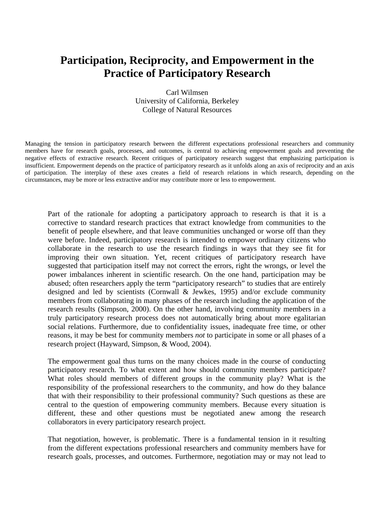# **Participation, Reciprocity, and Empowerment in the Practice of Participatory Research**

Carl Wilmsen University of California, Berkeley College of Natural Resources

Managing the tension in participatory research between the different expectations professional researchers and community members have for research goals, processes, and outcomes, is central to achieving empowerment goals and preventing the negative effects of extractive research. Recent critiques of participatory research suggest that emphasizing participation is insufficient. Empowerment depends on the practice of participatory research as it unfolds along an axis of reciprocity and an axis of participation. The interplay of these axes creates a field of research relations in which research, depending on the circumstances, may be more or less extractive and/or may contribute more or less to empowerment.

Part of the rationale for adopting a participatory approach to research is that it is a corrective to standard research practices that extract knowledge from communities to the benefit of people elsewhere, and that leave communities unchanged or worse off than they were before. Indeed, participatory research is intended to empower ordinary citizens who collaborate in the research to use the research findings in ways that they see fit for improving their own situation. Yet, recent critiques of participatory research have suggested that participation itself may not correct the errors, right the wrongs, or level the power imbalances inherent in scientific research. On the one hand, participation may be abused; often researchers apply the term "participatory research" to studies that are entirely designed and led by scientists (Cornwall & Jewkes, 1995) and/or exclude community members from collaborating in many phases of the research including the application of the research results (Simpson, 2000). On the other hand, involving community members in a truly participatory research process does not automatically bring about more egalitarian social relations. Furthermore, due to confidentiality issues, inadequate free time, or other reasons, it may be best for community members *not* to participate in some or all phases of a research project (Hayward, Simpson, & Wood, 2004).

The empowerment goal thus turns on the many choices made in the course of conducting participatory research. To what extent and how should community members participate? What roles should members of different groups in the community play? What is the responsibility of the professional researchers to the community, and how do they balance that with their responsibility to their professional community? Such questions as these are central to the question of empowering community members. Because every situation is different, these and other questions must be negotiated anew among the research collaborators in every participatory research project.

That negotiation, however, is problematic. There is a fundamental tension in it resulting from the different expectations professional researchers and community members have for research goals, processes, and outcomes. Furthermore, negotiation may or may not lead to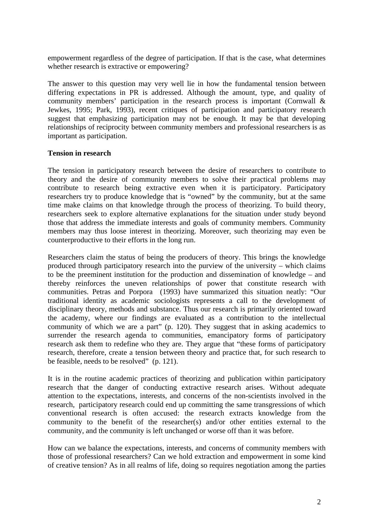empowerment regardless of the degree of participation. If that is the case, what determines whether research is extractive or empowering?

The answer to this question may very well lie in how the fundamental tension between differing expectations in PR is addressed. Although the amount, type, and quality of community members' participation in the research process is important (Cornwall & Jewkes, 1995; Park, 1993), recent critiques of participation and participatory research suggest that emphasizing participation may not be enough. It may be that developing relationships of reciprocity between community members and professional researchers is as important as participation.

#### **Tension in research**

The tension in participatory research between the desire of researchers to contribute to theory and the desire of community members to solve their practical problems may contribute to research being extractive even when it is participatory. Participatory researchers try to produce knowledge that is "owned" by the community, but at the same time make claims on that knowledge through the process of theorizing. To build theory, researchers seek to explore alternative explanations for the situation under study beyond those that address the immediate interests and goals of community members. Community members may thus loose interest in theorizing. Moreover, such theorizing may even be counterproductive to their efforts in the long run.

Researchers claim the status of being the producers of theory. This brings the knowledge produced through participatory research into the purview of the university – which claims to be the preeminent institution for the production and dissemination of knowledge – and thereby reinforces the uneven relationships of power that constitute research with communities. Petras and Porpora (1993) have summarized this situation neatly: "Our traditional identity as academic sociologists represents a call to the development of disciplinary theory, methods and substance. Thus our research is primarily oriented toward the academy, where our findings are evaluated as a contribution to the intellectual community of which we are a part" (p. 120). They suggest that in asking academics to surrender the research agenda to communities, emancipatory forms of participatory research ask them to redefine who they are. They argue that "these forms of participatory research, therefore, create a tension between theory and practice that, for such research to be feasible, needs to be resolved" (p. 121).

It is in the routine academic practices of theorizing and publication within participatory research that the danger of conducting extractive research arises. Without adequate attention to the expectations, interests, and concerns of the non-scientists involved in the research, participatory research could end up committing the same transgressions of which conventional research is often accused: the research extracts knowledge from the community to the benefit of the researcher(s) and/or other entities external to the community, and the community is left unchanged or worse off than it was before.

How can we balance the expectations, interests, and concerns of community members with those of professional researchers? Can we hold extraction and empowerment in some kind of creative tension? As in all realms of life, doing so requires negotiation among the parties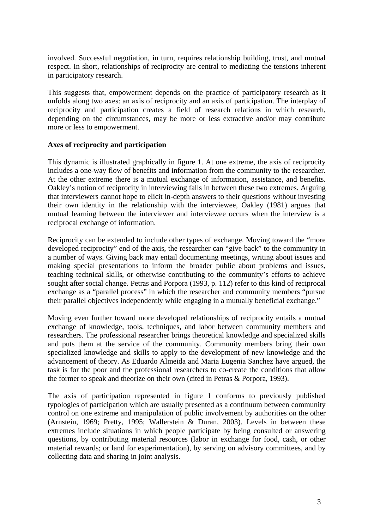involved. Successful negotiation, in turn, requires relationship building, trust, and mutual respect. In short, relationships of reciprocity are central to mediating the tensions inherent in participatory research.

This suggests that, empowerment depends on the practice of participatory research as it unfolds along two axes: an axis of reciprocity and an axis of participation. The interplay of reciprocity and participation creates a field of research relations in which research, depending on the circumstances, may be more or less extractive and/or may contribute more or less to empowerment.

#### **Axes of reciprocity and participation**

This dynamic is illustrated graphically in figure 1. At one extreme, the axis of reciprocity includes a one-way flow of benefits and information from the community to the researcher. At the other extreme there is a mutual exchange of information, assistance, and benefits. Oakley's notion of reciprocity in interviewing falls in between these two extremes. Arguing that interviewers cannot hope to elicit in-depth answers to their questions without investing their own identity in the relationship with the interviewee, Oakley (1981) argues that mutual learning between the interviewer and interviewee occurs when the interview is a reciprocal exchange of information.

Reciprocity can be extended to include other types of exchange. Moving toward the "more developed reciprocity" end of the axis, the researcher can "give back" to the community in a number of ways. Giving back may entail documenting meetings, writing about issues and making special presentations to inform the broader public about problems and issues, teaching technical skills, or otherwise contributing to the community's efforts to achieve sought after social change. Petras and Porpora (1993, p. 112) refer to this kind of reciprocal exchange as a "parallel process" in which the researcher and community members "pursue their parallel objectives independently while engaging in a mutually beneficial exchange."

Moving even further toward more developed relationships of reciprocity entails a mutual exchange of knowledge, tools, techniques, and labor between community members and researchers. The professional researcher brings theoretical knowledge and specialized skills and puts them at the service of the community. Community members bring their own specialized knowledge and skills to apply to the development of new knowledge and the advancement of theory. As Eduardo Almeida and Maria Eugenia Sanchez have argued, the task is for the poor and the professional researchers to co-create the conditions that allow the former to speak and theorize on their own (cited in Petras & Porpora, 1993).

The axis of participation represented in figure 1 conforms to previously published typologies of participation which are usually presented as a continuum between community control on one extreme and manipulation of public involvement by authorities on the other (Arnstein, 1969; Pretty, 1995; Wallerstein & Duran, 2003). Levels in between these extremes include situations in which people participate by being consulted or answering questions, by contributing material resources (labor in exchange for food, cash, or other material rewards; or land for experimentation), by serving on advisory committees, and by collecting data and sharing in joint analysis.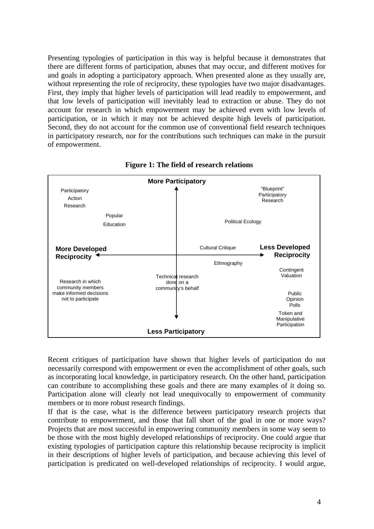Presenting typologies of participation in this way is helpful because it demonstrates that there are different forms of participation, abuses that may occur, and different motives for and goals in adopting a participatory approach. When presented alone as they usually are, without representing the role of reciprocity, these typologies have two major disadvantages. First, they imply that higher levels of participation will lead readily to empowerment, and that low levels of participation will inevitably lead to extraction or abuse. They do not account for research in which empowerment may be achieved even with low levels of participation, or in which it may not be achieved despite high levels of participation. Second, they do not account for the common use of conventional field research techniques in participatory research, nor for the contributions such techniques can make in the pursuit of empowerment.



**Figure 1: The field of research relations** 

Recent critiques of participation have shown that higher levels of participation do not necessarily correspond with empowerment or even the accomplishment of other goals, such as incorporating local knowledge, in participatory research. On the other hand, participation can contribute to accomplishing these goals and there are many examples of it doing so. Participation alone will clearly not lead unequivocally to empowerment of community members or to more robust research findings.

If that is the case, what is the difference between participatory research projects that contribute to empowerment, and those that fall short of the goal in one or more ways? Projects that are most successful in empowering community members in some way seem to be those with the most highly developed relationships of reciprocity. One could argue that existing typologies of participation capture this relationship because reciprocity is implicit in their descriptions of higher levels of participation, and because achieving this level of participation is predicated on well-developed relationships of reciprocity. I would argue,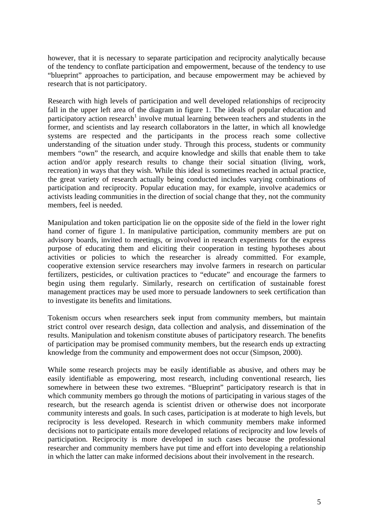however, that it is necessary to separate participation and reciprocity analytically because of the tendency to conflate participation and empowerment, because of the tendency to use "blueprint" approaches to participation, and because empowerment may be achieved by research that is not participatory.

Research with high levels of participation and well developed relationships of reciprocity fall in the upper left area of the diagram in figure 1. The ideals of popular education and participatory action research<sup>1</sup> involve mutual learning between teachers and students in the former, and scientists and lay research collaborators in the latter, in which all knowledge systems are respected and the participants in the process reach some collective understanding of the situation under study. Through this process, students or community members "own" the research, and acquire knowledge and skills that enable them to take action and/or apply research results to change their social situation (living, work, recreation) in ways that they wish. While this ideal is sometimes reached in actual practice, the great variety of research actually being conducted includes varying combinations of participation and reciprocity. Popular education may, for example, involve academics or activists leading communities in the direction of social change that they, not the community members, feel is needed.

Manipulation and token participation lie on the opposite side of the field in the lower right hand corner of figure 1. In manipulative participation, community members are put on advisory boards, invited to meetings, or involved in research experiments for the express purpose of educating them and eliciting their cooperation in testing hypotheses about activities or policies to which the researcher is already committed. For example, cooperative extension service researchers may involve farmers in research on particular fertilizers, pesticides, or cultivation practices to "educate" and encourage the farmers to begin using them regularly. Similarly, research on certification of sustainable forest management practices may be used more to persuade landowners to seek certification than to investigate its benefits and limitations.

Tokenism occurs when researchers seek input from community members, but maintain strict control over research design, data collection and analysis, and dissemination of the results. Manipulation and tokenism constitute abuses of participatory research. The benefits of participation may be promised community members, but the research ends up extracting knowledge from the community and empowerment does not occur (Simpson, 2000).

While some research projects may be easily identifiable as abusive, and others may be easily identifiable as empowering, most research, including conventional research, lies somewhere in between these two extremes. "Blueprint" participatory research is that in which community members go through the motions of participating in various stages of the research, but the research agenda is scientist driven or otherwise does not incorporate community interests and goals. In such cases, participation is at moderate to high levels, but reciprocity is less developed. Research in which community members make informed decisions not to participate entails more developed relations of reciprocity and low levels of participation. Reciprocity is more developed in such cases because the professional researcher and community members have put time and effort into developing a relationship in which the latter can make informed decisions about their involvement in the research.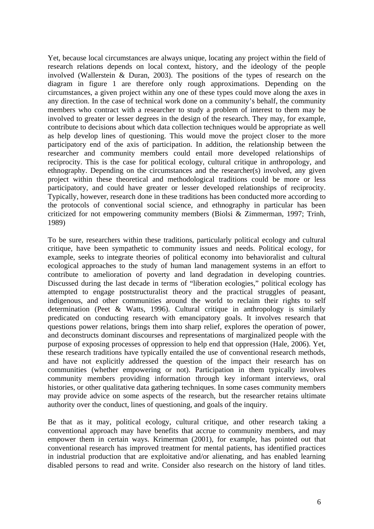Yet, because local circumstances are always unique, locating any project within the field of research relations depends on local context, history, and the ideology of the people involved (Wallerstein & Duran, 2003). The positions of the types of research on the diagram in figure 1 are therefore only rough approximations. Depending on the circumstances, a given project within any one of these types could move along the axes in any direction. In the case of technical work done on a community's behalf, the community members who contract with a researcher to study a problem of interest to them may be involved to greater or lesser degrees in the design of the research. They may, for example, contribute to decisions about which data collection techniques would be appropriate as well as help develop lines of questioning. This would move the project closer to the more participatory end of the axis of participation. In addition, the relationship between the researcher and community members could entail more developed relationships of reciprocity. This is the case for political ecology, cultural critique in anthropology, and ethnography. Depending on the circumstances and the researcher(s) involved, any given project within these theoretical and methodological traditions could be more or less participatory, and could have greater or lesser developed relationships of reciprocity. Typically, however, research done in these traditions has been conducted more according to the protocols of conventional social science, and ethnography in particular has been criticized for not empowering community members (Biolsi & Zimmerman, 1997; Trinh, 1989)

To be sure, researchers within these traditions, particularly political ecology and cultural critique, have been sympathetic to community issues and needs. Political ecology, for example, seeks to integrate theories of political economy into behavioralist and cultural ecological approaches to the study of human land management systems in an effort to contribute to amelioration of poverty and land degradation in developing countries. Discussed during the last decade in terms of "liberation ecologies," political ecology has attempted to engage poststructuralist theory and the practical struggles of peasant, indigenous, and other communities around the world to reclaim their rights to self determination (Peet & Watts, 1996). Cultural critique in anthropology is similarly predicated on conducting research with emancipatory goals. It involves research that questions power relations, brings them into sharp relief, explores the operation of power, and deconstructs dominant discourses and representations of marginalized people with the purpose of exposing processes of oppression to help end that oppression (Hale, 2006). Yet, these research traditions have typically entailed the use of conventional research methods, and have not explicitly addressed the question of the impact their research has on communities (whether empowering or not). Participation in them typically involves community members providing information through key informant interviews, oral histories, or other qualitative data gathering techniques. In some cases community members may provide advice on some aspects of the research, but the researcher retains ultimate authority over the conduct, lines of questioning, and goals of the inquiry.

Be that as it may, political ecology, cultural critique, and other research taking a conventional approach may have benefits that accrue to community members, and may empower them in certain ways. Krimerman (2001), for example, has pointed out that conventional research has improved treatment for mental patients, has identified practices in industrial production that are exploitative and/or alienating, and has enabled learning disabled persons to read and write. Consider also research on the history of land titles.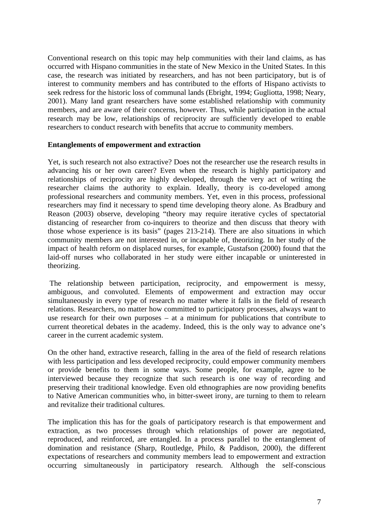Conventional research on this topic may help communities with their land claims, as has occurred with Hispano communities in the state of New Mexico in the United States. In this case, the research was initiated by researchers, and has not been participatory, but is of interest to community members and has contributed to the efforts of Hispano activists to seek redress for the historic loss of communal lands (Ebright, 1994; Gugliotta, 1998; Neary, 2001). Many land grant researchers have some established relationship with community members, and are aware of their concerns, however. Thus, while participation in the actual research may be low, relationships of reciprocity are sufficiently developed to enable researchers to conduct research with benefits that accrue to community members.

#### **Entanglements of empowerment and extraction**

Yet, is such research not also extractive? Does not the researcher use the research results in advancing his or her own career? Even when the research is highly participatory and relationships of reciprocity are highly developed, through the very act of writing the researcher claims the authority to explain. Ideally, theory is co-developed among professional researchers and community members. Yet, even in this process, professional researchers may find it necessary to spend time developing theory alone. As Bradbury and Reason (2003) observe, developing "theory may require iterative cycles of spectatorial distancing of researcher from co-inquirers to theorize and then discuss that theory with those whose experience is its basis" (pages 213-214). There are also situations in which community members are not interested in, or incapable of, theorizing. In her study of the impact of health reform on displaced nurses, for example, Gustafson (2000) found that the laid-off nurses who collaborated in her study were either incapable or uninterested in theorizing.

The relationship between participation, reciprocity, and empowerment is messy, ambiguous, and convoluted. Elements of empowerment and extraction may occur simultaneously in every type of research no matter where it falls in the field of research relations. Researchers, no matter how committed to participatory processes, always want to use research for their own purposes – at a minimum for publications that contribute to current theoretical debates in the academy. Indeed, this is the only way to advance one's career in the current academic system.

On the other hand, extractive research, falling in the area of the field of research relations with less participation and less developed reciprocity, could empower community members or provide benefits to them in some ways. Some people, for example, agree to be interviewed because they recognize that such research is one way of recording and preserving their traditional knowledge. Even old ethnographies are now providing benefits to Native American communities who, in bitter-sweet irony, are turning to them to relearn and revitalize their traditional cultures.

The implication this has for the goals of participatory research is that empowerment and extraction, as two processes through which relationships of power are negotiated, reproduced, and reinforced, are entangled. In a process parallel to the entanglement of domination and resistance (Sharp, Routledge, Philo, & Paddison, 2000), the different expectations of researchers and community members lead to empowerment and extraction occurring simultaneously in participatory research. Although the self-conscious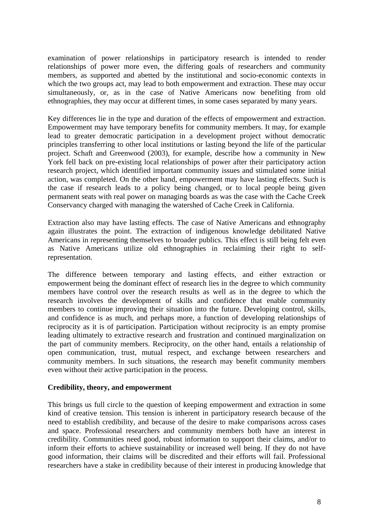examination of power relationships in participatory research is intended to render relationships of power more even, the differing goals of researchers and community members, as supported and abetted by the institutional and socio-economic contexts in which the two groups act, may lead to both empowerment and extraction. These may occur simultaneously, or, as in the case of Native Americans now benefiting from old ethnographies, they may occur at different times, in some cases separated by many years.

Key differences lie in the type and duration of the effects of empowerment and extraction. Empowerment may have temporary benefits for community members. It may, for example lead to greater democratic participation in a development project without democratic principles transferring to other local institutions or lasting beyond the life of the particular project. Schaft and Greenwood (2003), for example, describe how a community in New York fell back on pre-existing local relationships of power after their participatory action research project, which identified important community issues and stimulated some initial action, was completed. On the other hand, empowerment may have lasting effects. Such is the case if research leads to a policy being changed, or to local people being given permanent seats with real power on managing boards as was the case with the Cache Creek Conservancy charged with managing the watershed of Cache Creek in California.

Extraction also may have lasting effects. The case of Native Americans and ethnography again illustrates the point. The extraction of indigenous knowledge debilitated Native Americans in representing themselves to broader publics. This effect is still being felt even as Native Americans utilize old ethnographies in reclaiming their right to selfrepresentation.

The difference between temporary and lasting effects, and either extraction or empowerment being the dominant effect of research lies in the degree to which community members have control over the research results as well as in the degree to which the research involves the development of skills and confidence that enable community members to continue improving their situation into the future. Developing control, skills, and confidence is as much, and perhaps more, a function of developing relationships of reciprocity as it is of participation. Participation without reciprocity is an empty promise leading ultimately to extractive research and frustration and continued marginalization on the part of community members. Reciprocity, on the other hand, entails a relationship of open communication, trust, mutual respect, and exchange between researchers and community members. In such situations, the research may benefit community members even without their active participation in the process.

#### **Credibility, theory, and empowerment**

This brings us full circle to the question of keeping empowerment and extraction in some kind of creative tension. This tension is inherent in participatory research because of the need to establish credibility, and because of the desire to make comparisons across cases and space. Professional researchers and community members both have an interest in credibility. Communities need good, robust information to support their claims, and/or to inform their efforts to achieve sustainability or increased well being. If they do not have good information, their claims will be discredited and their efforts will fail. Professional researchers have a stake in credibility because of their interest in producing knowledge that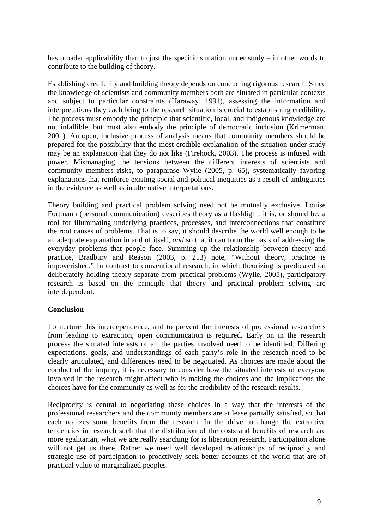has broader applicability than to just the specific situation under study – in other words to contribute to the building of theory.

Establishing credibility and building theory depends on conducting rigorous research. Since the knowledge of scientists and community members both are situated in particular contexts and subject to particular constraints (Haraway, 1991), assessing the information and interpretations they each bring to the research situation is crucial to establishing credibility. The process must embody the principle that scientific, local, and indigenous knowledge are not infallible, but must also embody the principle of democratic inclusion (Krimerman, 2001). An open, inclusive process of analysis means that community members should be prepared for the possibility that the most credible explanation of the situation under study may be an explanation that they do not like (Firehock, 2003). The process is infused with power. Mismanaging the tensions between the different interests of scientists and community members risks, to paraphrase Wylie (2005, p. 65), systematically favoring explanations that reinforce existing social and political inequities as a result of ambiguities in the evidence as well as in alternative interpretations.

Theory building and practical problem solving need not be mutually exclusive. Louise Fortmann (personal communication) describes theory as a flashlight: it is, or should be, a tool for illuminating underlying practices, processes, and interconnections that constitute the root causes of problems. That is to say, it should describe the world well enough to be an adequate explanation in and of itself, *and* so that it can form the basis of addressing the everyday problems that people face. Summing up the relationship between theory and practice, Bradbury and Reason (2003, p. 213) note, "Without theory, practice is impoverished." In contrast to conventional research, in which theorizing is predicated on deliberately holding theory separate from practical problems (Wylie, 2005), participatory research is based on the principle that theory and practical problem solving are interdependent.

### **Conclusion**

To nurture this interdependence, and to prevent the interests of professional researchers from leading to extraction, open communication is required. Early on in the research process the situated interests of all the parties involved need to be identified. Differing expectations, goals, and understandings of each party's role in the research need to be clearly articulated, and differences need to be negotiated. As choices are made about the conduct of the inquiry, it is necessary to consider how the situated interests of everyone involved in the research might affect who is making the choices and the implications the choices have for the community as well as for the credibility of the research results.

Reciprocity is central to negotiating these choices in a way that the interests of the professional researchers and the community members are at lease partially satisfied, so that each realizes some benefits from the research. In the drive to change the extractive tendencies in research such that the distribution of the costs and benefits of research are more egalitarian, what we are really searching for is liberation research. Participation alone will not get us there. Rather we need well developed relationships of reciprocity and strategic use of participation to proactively seek better accounts of the world that are of practical value to marginalized peoples.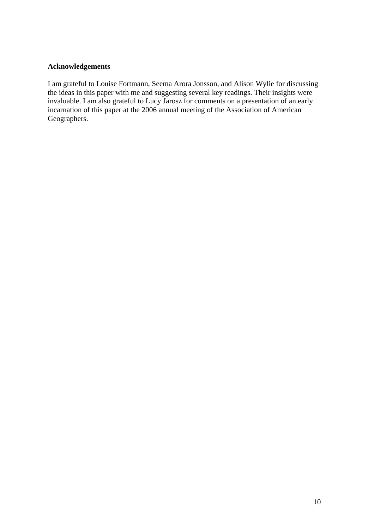## **Acknowledgements**

I am grateful to Louise Fortmann, Seema Arora Jonsson, and Alison Wylie for discussing the ideas in this paper with me and suggesting several key readings. Their insights were invaluable. I am also grateful to Lucy Jarosz for comments on a presentation of an early incarnation of this paper at the 2006 annual meeting of the Association of American Geographers.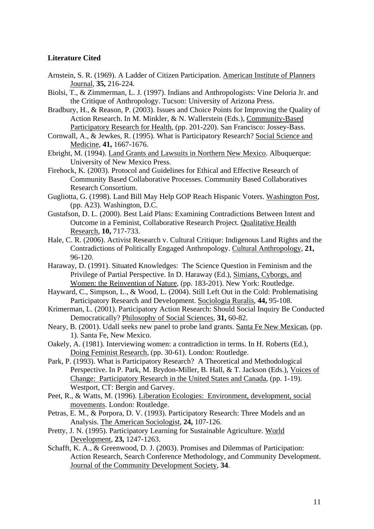#### **Literature Cited**

- Arnstein, S. R. (1969). A Ladder of Citizen Participation. American Institute of Planners Journal, **35,** 216-224.
- Biolsi, T., & Zimmerman, L. J. (1997). Indians and Anthropologists: Vine Deloria Jr. and the Critique of Anthropology. Tucson: University of Arizona Press.
- Bradbury, H., & Reason, P. (2003). Issues and Choice Points for Improving the Quality of Action Research. In M. Minkler, & N. Wallerstein (Eds.), Community-Based Participatory Research for Health, (pp. 201-220). San Francisco: Jossey-Bass.
- Cornwall, A., & Jewkes, R. (1995). What is Participatory Research? Social Science and Medicine, **41,** 1667-1676.
- Ebright, M. (1994). Land Grants and Lawsuits in Northern New Mexico. Albuquerque: University of New Mexico Press.
- Firehock, K. (2003). Protocol and Guidelines for Ethical and Effective Research of Community Based Collaborative Processes. Community Based Collaboratives Research Consortium.
- Gugliotta, G. (1998). Land Bill May Help GOP Reach Hispanic Voters. Washington Post, (pp. A23). Washington, D.C.
- Gustafson, D. L. (2000). Best Laid Plans: Examining Contradictions Between Intent and Outcome in a Feminist, Collaborative Research Project. Qualitative Health Research, **10,** 717-733.
- Hale, C. R. (2006). Activist Research v. Cultural Critique: Indigenous Land Rights and the Contradictions of Politically Engaged Anthropology. Cultural Anthropology, **21,** 96-120.
- Haraway, D. (1991). Situated Knowledges: The Science Question in Feminism and the Privilege of Partial Perspective. In D. Haraway (Ed.), Simians, Cyborgs, and Women: the Reinvention of Nature, (pp. 183-201). New York: Routledge.
- Hayward, C., Simpson, L., & Wood, L. (2004). Still Left Out in the Cold: Problematising Participatory Research and Development. Sociologia Ruralis, **44,** 95-108.
- Krimerman, L. (2001). Participatory Action Research: Should Social Inquiry Be Conducted Democratically? Philosophy of Social Sciences, **31,** 60-82.
- Neary, B. (2001). Udall seeks new panel to probe land grants. Santa Fe New Mexican, (pp. 1). Santa Fe, New Mexico.
- Oakely, A. (1981). Interviewing women: a contradiction in terms. In H. Roberts (Ed.), Doing Feminist Research, (pp. 30-61). London: Routledge.
- Park, P. (1993). What is Participatory Research? A Theoretical and Methodological Perspective. In P. Park, M. Brydon-Miller, B. Hall, & T. Jackson (Eds.), Voices of Change: Participatory Research in the United States and Canada, (pp. 1-19). Westport, CT: Bergin and Garvey.
- Peet, R., & Watts, M. (1996). Liberation Ecologies: Environment, development, social movements. London: Routledge.
- Petras, E. M., & Porpora, D. V. (1993). Participatory Research: Three Models and an Analysis. The American Sociologist, **24,** 107-126.
- Pretty, J. N. (1995). Participatory Learning for Sustainable Agriculture. World Development, **23,** 1247-1263.
- Schafft, K. A., & Greenwood, D. J. (2003). Promises and Dilemmas of Participation: Action Research, Search Conference Methodology, and Community Development. Journal of the Community Development Society, **34**.